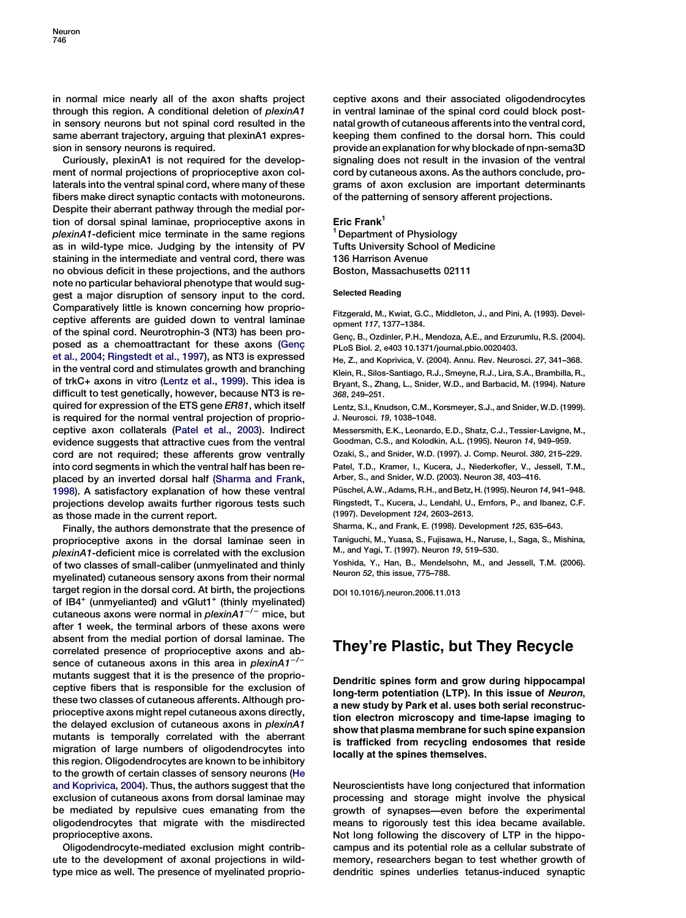in normal mice nearly all of the axon shafts project through this region. A conditional deletion of plexinA1 in sensory neurons but not spinal cord resulted in the same aberrant trajectory, arguing that plexinA1 expression in sensory neurons is required.

Curiously, plexinA1 is not required for the development of normal projections of proprioceptive axon collaterals into the ventral spinal cord, where many of these fibers make direct synaptic contacts with motoneurons. Despite their aberrant pathway through the medial portion of dorsal spinal laminae, proprioceptive axons in plexinA1-deficient mice terminate in the same regions as in wild-type mice. Judging by the intensity of PV staining in the intermediate and ventral cord, there was no obvious deficit in these projections, and the authors note no particular behavioral phenotype that would suggest a major disruption of sensory input to the cord. Comparatively little is known concerning how proprioceptive afferents are guided down to ventral laminae of the spinal cord. Neurotrophin-3 (NT3) has been proposed as a chemoattractant for these axons (Genç et al., 2004; Ringstedt et al., 1997), as NT3 is expressed in the ventral cord and stimulates growth and branching of trkC+ axons in vitro (Lentz et al., 1999). This idea is difficult to test genetically, however, because NT3 is required for expression of the ETS gene ER81, which itself is required for the normal ventral projection of proprioceptive axon collaterals (Patel et al., 2003). Indirect evidence suggests that attractive cues from the ventral cord are not required; these afferents grow ventrally into cord segments in which the ventral half has been replaced by an inverted dorsal half (Sharma and Frank, 1998). A satisfactory explanation of how these ventral projections develop awaits further rigorous tests such as those made in the current report.

Finally, the authors demonstrate that the presence of proprioceptive axons in the dorsal laminae seen in plexinA1-deficient mice is correlated with the exclusion of two classes of small-caliber (unmyelinated and thinly myelinated) cutaneous sensory axons from their normal target region in the dorsal cord. At birth, the projections of IB4 $^+$  (unmyelianted) and vGlut1 $^+$  (thinly myelinated) cutaneous axons were normal in *plexinA1<sup>-/-</sup>* mice, but after 1 week, the terminal arbors of these axons were absent from the medial portion of dorsal laminae. The correlated presence of proprioceptive axons and absence of cutaneous axons in this area in plexinA $1^{-/-}$ mutants suggest that it is the presence of the proprioceptive fibers that is responsible for the exclusion of these two classes of cutaneous afferents. Although proprioceptive axons might repel cutaneous axons directly, the delayed exclusion of cutaneous axons in plexinA1 mutants is temporally correlated with the aberrant migration of large numbers of oligodendrocytes into this region. Oligodendrocytes are known to be inhibitory to the growth of certain classes of sensory neurons (He and Koprivica, 2004). Thus, the authors suggest that the exclusion of cutaneous axons from dorsal laminae may be mediated by repulsive cues emanating from the oligodendrocytes that migrate with the misdirected proprioceptive axons.

Oligodendrocyte-mediated exclusion might contribute to the development of axonal projections in wildtype mice as well. The presence of myelinated proprio-

ceptive axons and their associated oligodendrocytes in ventral laminae of the spinal cord could block postnatal growth of cutaneous afferents into the ventral cord, keeping them confined to the dorsal horn. This could provide an explanation for why blockade of npn-sema3D signaling does not result in the invasion of the ventral cord by cutaneous axons. As the authors conclude, programs of axon exclusion are important determinants of the patterning of sensory afferent projections.

#### Eric Frank<sup>1</sup>

<sup>1</sup> Department of Physiology Tufts University School of Medicine 136 Harrison Avenue Boston, Massachusetts 02111

#### Selected Reading

Fitzgerald, M., Kwiat, G.C., Middleton, J., and Pini, A. (1993). Development 117, 1377–1384.

Genç, B., Ozdinler, P.H., Mendoza, A.E., and Erzurumlu, R.S. (2004). PLoS Biol. 2, e403 10.1371/journal.pbio.0020403.

He, Z., and Koprivica, V. (2004). Annu. Rev. Neurosci. 27, 341–368. Klein, R., Silos-Santiago, R.J., Smeyne, R.J., Lira, S.A., Brambilla, R., Bryant, S., Zhang, L., Snider, W.D., and Barbacid, M. (1994). Nature 368, 249–251.

Lentz, S.I., Knudson, C.M., Korsmeyer, S.J., and Snider, W.D. (1999). J. Neurosci. 19, 1038–1048.

Messersmith, E.K., Leonardo, E.D., Shatz, C.J., Tessier-Lavigne, M., Goodman, C.S., and Kolodkin, A.L. (1995). Neuron 14, 949–959.

Ozaki, S., and Snider, W.D. (1997). J. Comp. Neurol. 380, 215–229.

Patel, T.D., Kramer, I., Kucera, J., Niederkofler, V., Jessell, T.M., Arber, S., and Snider, W.D. (2003). Neuron 38, 403–416.

Püschel, A.W., Adams, R.H., and Betz, H. (1995). Neuron 14, 941–948. Ringstedt, T., Kucera, J., Lendahl, U., Ernfors, P., and Ibanez, C.F. (1997). Development 124, 2603–2613.

Sharma, K., and Frank, E. (1998). Development 125, 635–643.

Taniguchi, M., Yuasa, S., Fujisawa, H., Naruse, I., Saga, S., Mishina, M., and Yagi, T. (1997). Neuron 19, 519–530.

Yoshida, Y., Han, B., Mendelsohn, M., and Jessell, T.M. (2006). Neuron 52, this issue, 775–788.

DOI 10.1016/j.neuron.2006.11.013

## They're Plastic, but They Recycle

Dendritic spines form and grow during hippocampal long-term potentiation (LTP). In this issue of Neuron, a new study by Park et al. uses both serial reconstruction electron microscopy and time-lapse imaging to show that plasma membrane for such spine expansion is trafficked from recycling endosomes that reside locally at the spines themselves.

Neuroscientists have long conjectured that information processing and storage might involve the physical growth of synapses—even before the experimental means to rigorously test this idea became available. Not long following the discovery of LTP in the hippocampus and its potential role as a cellular substrate of memory, researchers began to test whether growth of dendritic spines underlies tetanus-induced synaptic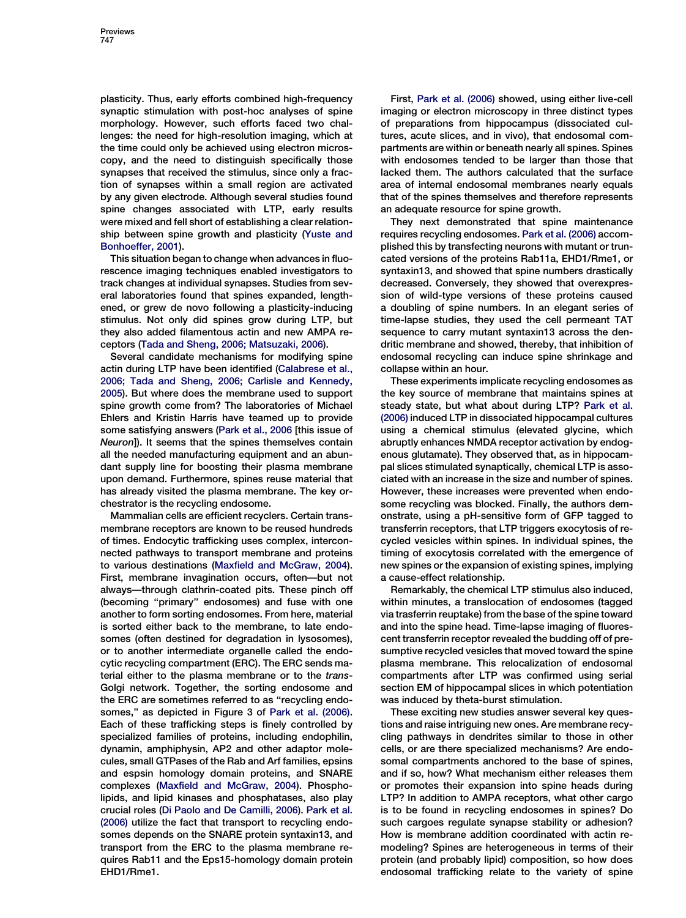plasticity. Thus, early efforts combined high-frequency synaptic stimulation with post-hoc analyses of spine morphology. However, such efforts faced two challenges: the need for high-resolution imaging, which at the time could only be achieved using electron microscopy, and the need to distinguish specifically those synapses that received the stimulus, since only a fraction of synapses within a small region are activated by any given electrode. Although several studies found spine changes associated with LTP, early results were mixed and fell short of establishing a clear relationship between spine growth and plasticity ([Yuste and](#page-2-0) [Bonhoeffer, 2001\)](#page-2-0).

This situation began to change when advances in fluorescence imaging techniques enabled investigators to track changes at individual synapses. Studies from several laboratories found that spines expanded, lengthened, or grew de novo following a plasticity-inducing stimulus. Not only did spines grow during LTP, but they also added filamentous actin and new AMPA receptors [\(Tada and Sheng, 2006; Matsuzaki, 2006\)](#page-2-0).

Several candidate mechanisms for modifying spine actin during LTP have been identified [\(Calabrese et al.,](#page-2-0) [2006; Tada and Sheng, 2006; Carlisle and Kennedy,](#page-2-0) [2005](#page-2-0)). But where does the membrane used to support spine growth come from? The laboratories of Michael Ehlers and Kristin Harris have teamed up to provide some satisfying answers [\(Park et al., 2006](#page-2-0) [this issue of Neuron]). It seems that the spines themselves contain all the needed manufacturing equipment and an abundant supply line for boosting their plasma membrane upon demand. Furthermore, spines reuse material that has already visited the plasma membrane. The key orchestrator is the recycling endosome.

Mammalian cells are efficient recyclers. Certain transmembrane receptors are known to be reused hundreds of times. Endocytic trafficking uses complex, interconnected pathways to transport membrane and proteins to various destinations [\(Maxfield and McGraw, 2004](#page-2-0)). First, membrane invagination occurs, often—but not always—through clathrin-coated pits. These pinch off (becoming ''primary'' endosomes) and fuse with one another to form sorting endosomes. From here, material is sorted either back to the membrane, to late endosomes (often destined for degradation in lysosomes), or to another intermediate organelle called the endocytic recycling compartment (ERC). The ERC sends material either to the plasma membrane or to the trans-Golgi network. Together, the sorting endosome and the ERC are sometimes referred to as "recycling endosomes,'' as depicted in Figure 3 of [Park et al. \(2006\)](#page-2-0). Each of these trafficking steps is finely controlled by specialized families of proteins, including endophilin, dynamin, amphiphysin, AP2 and other adaptor molecules, small GTPases of the Rab and Arf families, epsins and espsin homology domain proteins, and SNARE complexes ([Maxfield and McGraw, 2004\)](#page-2-0). Phospholipids, and lipid kinases and phosphatases, also play crucial roles [\(Di Paolo and De Camilli, 2006](#page-2-0)). [Park et al.](#page-2-0) [\(2006\)](#page-2-0) utilize the fact that transport to recycling endosomes depends on the SNARE protein syntaxin13, and transport from the ERC to the plasma membrane requires Rab11 and the Eps15-homology domain protein EHD1/Rme1.

First, [Park et al. \(2006\)](#page-2-0) showed, using either live-cell imaging or electron microscopy in three distinct types of preparations from hippocampus (dissociated cultures, acute slices, and in vivo), that endosomal compartments are within or beneath nearly all spines. Spines with endosomes tended to be larger than those that lacked them. The authors calculated that the surface area of internal endosomal membranes nearly equals that of the spines themselves and therefore represents an adequate resource for spine growth.

They next demonstrated that spine maintenance requires recycling endosomes. [Park et al. \(2006\)](#page-2-0) accomplished this by transfecting neurons with mutant or truncated versions of the proteins Rab11a, EHD1/Rme1, or syntaxin13, and showed that spine numbers drastically decreased. Conversely, they showed that overexpression of wild-type versions of these proteins caused a doubling of spine numbers. In an elegant series of time-lapse studies, they used the cell permeant TAT sequence to carry mutant syntaxin13 across the dendritic membrane and showed, thereby, that inhibition of endosomal recycling can induce spine shrinkage and collapse within an hour.

These experiments implicate recycling endosomes as the key source of membrane that maintains spines at steady state, but what about during LTP? [Park et al.](#page-2-0) [\(2006\)](#page-2-0) induced LTP in dissociated hippocampal cultures using a chemical stimulus (elevated glycine, which abruptly enhances NMDA receptor activation by endogenous glutamate). They observed that, as in hippocampal slices stimulated synaptically, chemical LTP is associated with an increase in the size and number of spines. However, these increases were prevented when endosome recycling was blocked. Finally, the authors demonstrate, using a pH-sensitive form of GFP tagged to transferrin receptors, that LTP triggers exocytosis of recycled vesicles within spines. In individual spines, the timing of exocytosis correlated with the emergence of new spines or the expansion of existing spines, implying a cause-effect relationship.

Remarkably, the chemical LTP stimulus also induced, within minutes, a translocation of endosomes (tagged via trasferrin reuptake) from the base of the spine toward and into the spine head. Time-lapse imaging of fluorescent transferrin receptor revealed the budding off of presumptive recycled vesicles that moved toward the spine plasma membrane. This relocalization of endosomal compartments after LTP was confirmed using serial section EM of hippocampal slices in which potentiation was induced by theta-burst stimulation.

These exciting new studies answer several key questions and raise intriguing new ones. Are membrane recycling pathways in dendrites similar to those in other cells, or are there specialized mechanisms? Are endosomal compartments anchored to the base of spines, and if so, how? What mechanism either releases them or promotes their expansion into spine heads during LTP? In addition to AMPA receptors, what other cargo is to be found in recycling endosomes in spines? Do such cargoes regulate synapse stability or adhesion? How is membrane addition coordinated with actin remodeling? Spines are heterogeneous in terms of their protein (and probably lipid) composition, so how does endosomal trafficking relate to the variety of spine